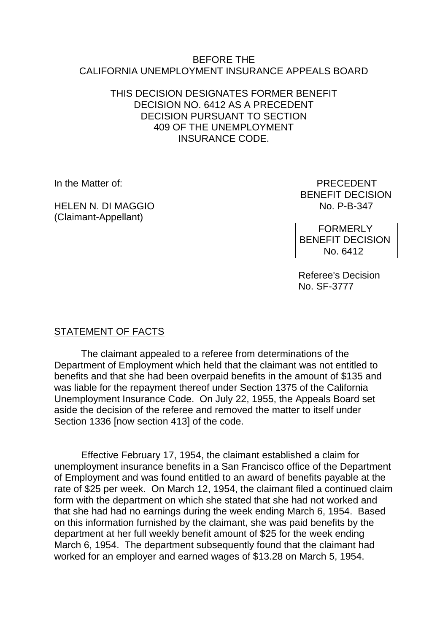#### BEFORE THE CALIFORNIA UNEMPLOYMENT INSURANCE APPEALS BOARD

#### THIS DECISION DESIGNATES FORMER BENEFIT DECISION NO. 6412 AS A PRECEDENT DECISION PURSUANT TO SECTION 409 OF THE UNEMPLOYMENT INSURANCE CODE.

HELEN N. DI MAGGIO No. P-B-347 (Claimant-Appellant)

In the Matter of: PRECEDENT BENEFIT DECISION

> FORMERLY BENEFIT DECISION No. 6412

Referee's Decision No. SF-3777

## STATEMENT OF FACTS

The claimant appealed to a referee from determinations of the Department of Employment which held that the claimant was not entitled to benefits and that she had been overpaid benefits in the amount of \$135 and was liable for the repayment thereof under Section 1375 of the California Unemployment Insurance Code. On July 22, 1955, the Appeals Board set aside the decision of the referee and removed the matter to itself under Section 1336 [now section 413] of the code.

Effective February 17, 1954, the claimant established a claim for unemployment insurance benefits in a San Francisco office of the Department of Employment and was found entitled to an award of benefits payable at the rate of \$25 per week. On March 12, 1954, the claimant filed a continued claim form with the department on which she stated that she had not worked and that she had had no earnings during the week ending March 6, 1954. Based on this information furnished by the claimant, she was paid benefits by the department at her full weekly benefit amount of \$25 for the week ending March 6, 1954. The department subsequently found that the claimant had worked for an employer and earned wages of \$13.28 on March 5, 1954.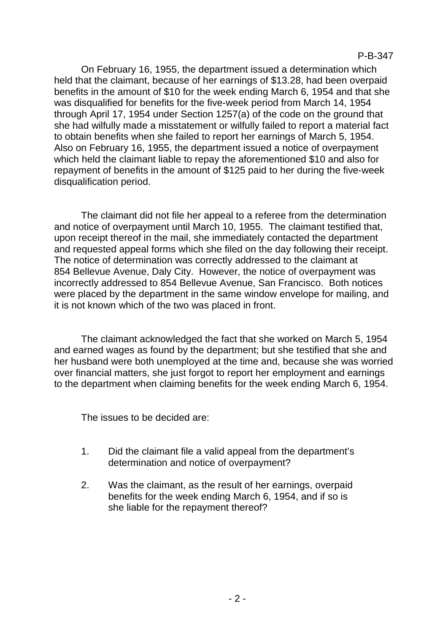On February 16, 1955, the department issued a determination which held that the claimant, because of her earnings of \$13.28, had been overpaid benefits in the amount of \$10 for the week ending March 6, 1954 and that she was disqualified for benefits for the five-week period from March 14, 1954 through April 17, 1954 under Section 1257(a) of the code on the ground that she had wilfully made a misstatement or wilfully failed to report a material fact to obtain benefits when she failed to report her earnings of March 5, 1954. Also on February 16, 1955, the department issued a notice of overpayment which held the claimant liable to repay the aforementioned \$10 and also for repayment of benefits in the amount of \$125 paid to her during the five-week disqualification period.

The claimant did not file her appeal to a referee from the determination and notice of overpayment until March 10, 1955. The claimant testified that, upon receipt thereof in the mail, she immediately contacted the department and requested appeal forms which she filed on the day following their receipt. The notice of determination was correctly addressed to the claimant at 854 Bellevue Avenue, Daly City. However, the notice of overpayment was incorrectly addressed to 854 Bellevue Avenue, San Francisco. Both notices were placed by the department in the same window envelope for mailing, and it is not known which of the two was placed in front.

The claimant acknowledged the fact that she worked on March 5, 1954 and earned wages as found by the department; but she testified that she and her husband were both unemployed at the time and, because she was worried over financial matters, she just forgot to report her employment and earnings to the department when claiming benefits for the week ending March 6, 1954.

The issues to be decided are:

- 1. Did the claimant file a valid appeal from the department's determination and notice of overpayment?
- 2. Was the claimant, as the result of her earnings, overpaid benefits for the week ending March 6, 1954, and if so is she liable for the repayment thereof?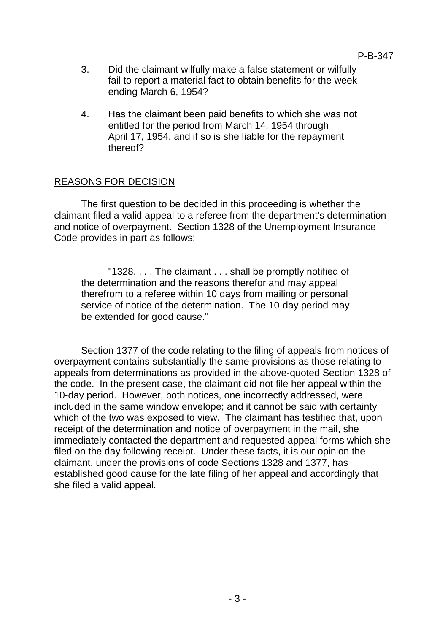- 3. Did the claimant wilfully make a false statement or wilfully fail to report a material fact to obtain benefits for the week ending March 6, 1954?
- 4. Has the claimant been paid benefits to which she was not entitled for the period from March 14, 1954 through April 17, 1954, and if so is she liable for the repayment thereof?

# REASONS FOR DECISION

The first question to be decided in this proceeding is whether the claimant filed a valid appeal to a referee from the department's determination and notice of overpayment. Section 1328 of the Unemployment Insurance Code provides in part as follows:

"1328. . . . The claimant . . . shall be promptly notified of the determination and the reasons therefor and may appeal therefrom to a referee within 10 days from mailing or personal service of notice of the determination. The 10-day period may be extended for good cause."

Section 1377 of the code relating to the filing of appeals from notices of overpayment contains substantially the same provisions as those relating to appeals from determinations as provided in the above-quoted Section 1328 of the code. In the present case, the claimant did not file her appeal within the 10-day period. However, both notices, one incorrectly addressed, were included in the same window envelope; and it cannot be said with certainty which of the two was exposed to view. The claimant has testified that, upon receipt of the determination and notice of overpayment in the mail, she immediately contacted the department and requested appeal forms which she filed on the day following receipt. Under these facts, it is our opinion the claimant, under the provisions of code Sections 1328 and 1377, has established good cause for the late filing of her appeal and accordingly that she filed a valid appeal.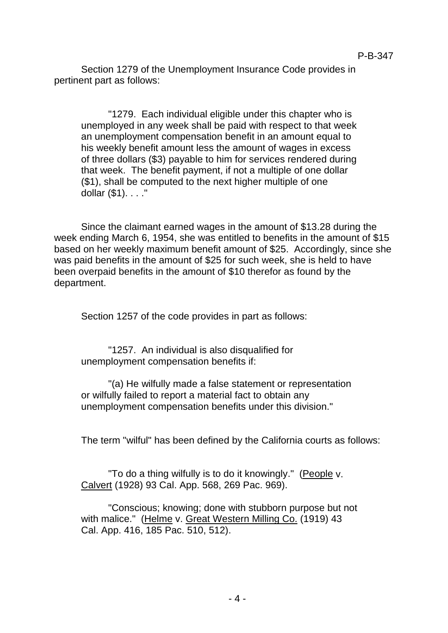Section 1279 of the Unemployment Insurance Code provides in pertinent part as follows:

"1279. Each individual eligible under this chapter who is unemployed in any week shall be paid with respect to that week an unemployment compensation benefit in an amount equal to his weekly benefit amount less the amount of wages in excess of three dollars (\$3) payable to him for services rendered during that week. The benefit payment, if not a multiple of one dollar (\$1), shall be computed to the next higher multiple of one dollar (\$1). . . ."

Since the claimant earned wages in the amount of \$13.28 during the week ending March 6, 1954, she was entitled to benefits in the amount of \$15 based on her weekly maximum benefit amount of \$25. Accordingly, since she was paid benefits in the amount of \$25 for such week, she is held to have been overpaid benefits in the amount of \$10 therefor as found by the department.

Section 1257 of the code provides in part as follows:

"1257. An individual is also disqualified for unemployment compensation benefits if:

"(a) He wilfully made a false statement or representation or wilfully failed to report a material fact to obtain any unemployment compensation benefits under this division."

The term "wilful" has been defined by the California courts as follows:

"To do a thing wilfully is to do it knowingly." (People v. Calvert (1928) 93 Cal. App. 568, 269 Pac. 969).

"Conscious; knowing; done with stubborn purpose but not with malice." (Helme v. Great Western Milling Co. (1919) 43 Cal. App. 416, 185 Pac. 510, 512).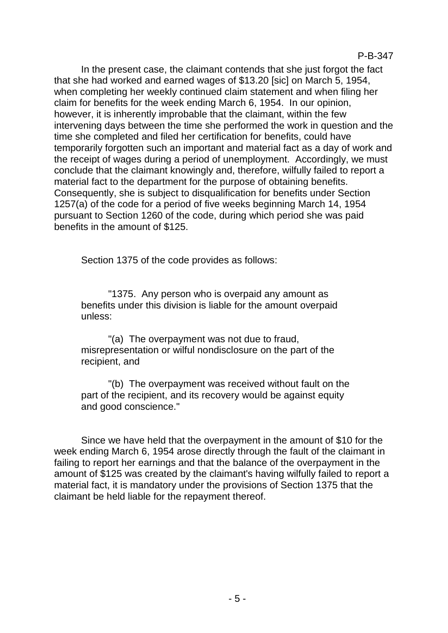In the present case, the claimant contends that she just forgot the fact that she had worked and earned wages of \$13.20 [sic] on March 5, 1954, when completing her weekly continued claim statement and when filing her claim for benefits for the week ending March 6, 1954. In our opinion, however, it is inherently improbable that the claimant, within the few intervening days between the time she performed the work in question and the time she completed and filed her certification for benefits, could have temporarily forgotten such an important and material fact as a day of work and the receipt of wages during a period of unemployment. Accordingly, we must conclude that the claimant knowingly and, therefore, wilfully failed to report a material fact to the department for the purpose of obtaining benefits. Consequently, she is subject to disqualification for benefits under Section 1257(a) of the code for a period of five weeks beginning March 14, 1954 pursuant to Section 1260 of the code, during which period she was paid benefits in the amount of \$125.

Section 1375 of the code provides as follows:

"1375. Any person who is overpaid any amount as benefits under this division is liable for the amount overpaid unless:

"(a) The overpayment was not due to fraud, misrepresentation or wilful nondisclosure on the part of the recipient, and

"(b) The overpayment was received without fault on the part of the recipient, and its recovery would be against equity and good conscience."

Since we have held that the overpayment in the amount of \$10 for the week ending March 6, 1954 arose directly through the fault of the claimant in failing to report her earnings and that the balance of the overpayment in the amount of \$125 was created by the claimant's having wilfully failed to report a material fact, it is mandatory under the provisions of Section 1375 that the claimant be held liable for the repayment thereof.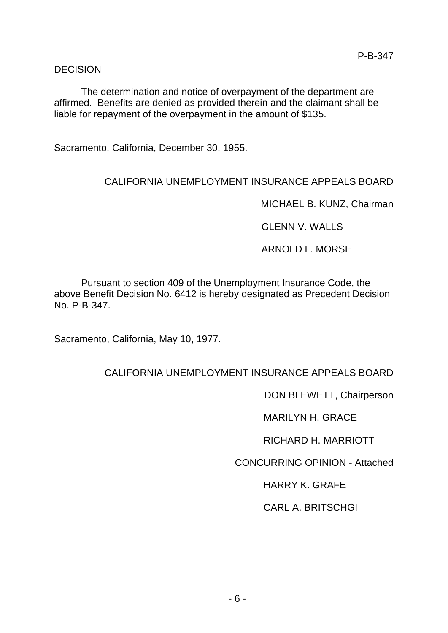#### DECISION

The determination and notice of overpayment of the department are affirmed. Benefits are denied as provided therein and the claimant shall be liable for repayment of the overpayment in the amount of \$135.

Sacramento, California, December 30, 1955.

# CALIFORNIA UNEMPLOYMENT INSURANCE APPEALS BOARD

MICHAEL B. KUNZ, Chairman

GLENN V. WALLS

ARNOLD L. MORSE

Pursuant to section 409 of the Unemployment Insurance Code, the above Benefit Decision No. 6412 is hereby designated as Precedent Decision No. P-B-347.

Sacramento, California, May 10, 1977.

## CALIFORNIA UNEMPLOYMENT INSURANCE APPEALS BOARD

DON BLEWETT, Chairperson

MARILYN H. GRACE

RICHARD H. MARRIOTT

CONCURRING OPINION - Attached

HARRY K. GRAFE

CARL A. BRITSCHGI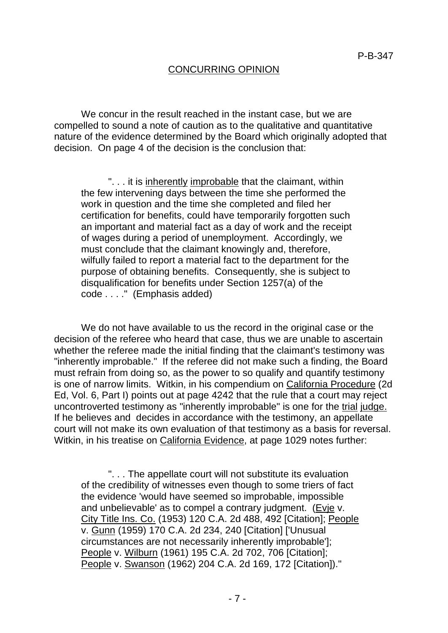### CONCURRING OPINION

We concur in the result reached in the instant case, but we are compelled to sound a note of caution as to the qualitative and quantitative nature of the evidence determined by the Board which originally adopted that decision. On page 4 of the decision is the conclusion that:

". . . it is inherently improbable that the claimant, within the few intervening days between the time she performed the work in question and the time she completed and filed her certification for benefits, could have temporarily forgotten such an important and material fact as a day of work and the receipt of wages during a period of unemployment. Accordingly, we must conclude that the claimant knowingly and, therefore, wilfully failed to report a material fact to the department for the purpose of obtaining benefits. Consequently, she is subject to disqualification for benefits under Section 1257(a) of the code . . . ." (Emphasis added)

We do not have available to us the record in the original case or the decision of the referee who heard that case, thus we are unable to ascertain whether the referee made the initial finding that the claimant's testimony was "inherently improbable." If the referee did not make such a finding, the Board must refrain from doing so, as the power to so qualify and quantify testimony is one of narrow limits. Witkin, in his compendium on California Procedure (2d Ed, Vol. 6, Part I) points out at page 4242 that the rule that a court may reject uncontroverted testimony as "inherently improbable" is one for the trial judge. If he believes and decides in accordance with the testimony, an appellate court will not make its own evaluation of that testimony as a basis for reversal. Witkin, in his treatise on California Evidence, at page 1029 notes further:

". . . The appellate court will not substitute its evaluation of the credibility of witnesses even though to some triers of fact the evidence 'would have seemed so improbable, impossible and unbelievable' as to compel a contrary judgment. (Evje v. City Title Ins. Co. (1953) 120 C.A. 2d 488, 492 [Citation]; People v. Gunn (1959) 170 C.A. 2d 234, 240 [Citation] ['Unusual circumstances are not necessarily inherently improbable']; People v. Wilburn (1961) 195 C.A. 2d 702, 706 [Citation]; People v. Swanson (1962) 204 C.A. 2d 169, 172 [Citation])."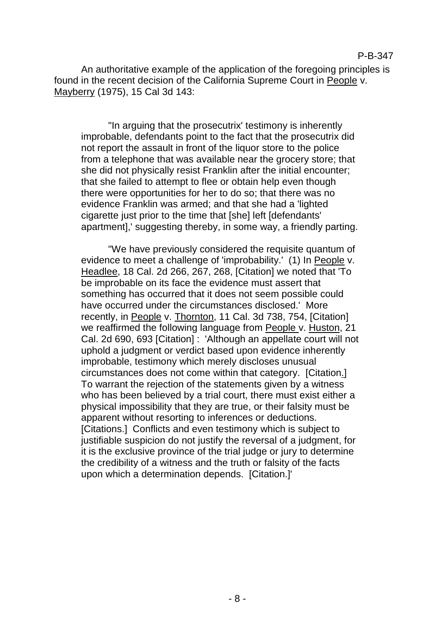An authoritative example of the application of the foregoing principles is found in the recent decision of the California Supreme Court in People v. Mayberry (1975), 15 Cal 3d 143:

"In arguing that the prosecutrix' testimony is inherently improbable, defendants point to the fact that the prosecutrix did not report the assault in front of the liquor store to the police from a telephone that was available near the grocery store; that she did not physically resist Franklin after the initial encounter; that she failed to attempt to flee or obtain help even though there were opportunities for her to do so; that there was no evidence Franklin was armed; and that she had a 'lighted cigarette just prior to the time that [she] left [defendants' apartment],' suggesting thereby, in some way, a friendly parting.

"We have previously considered the requisite quantum of evidence to meet a challenge of 'improbability.' (1) In People v. Headlee, 18 Cal. 2d 266, 267, 268, [Citation] we noted that 'To be improbable on its face the evidence must assert that something has occurred that it does not seem possible could have occurred under the circumstances disclosed.' More recently, in People v. Thornton, 11 Cal. 3d 738, 754, [Citation] we reaffirmed the following language from People v. Huston, 21 Cal. 2d 690, 693 [Citation] : 'Although an appellate court will not uphold a judgment or verdict based upon evidence inherently improbable, testimony which merely discloses unusual circumstances does not come within that category. [Citation.] To warrant the rejection of the statements given by a witness who has been believed by a trial court, there must exist either a physical impossibility that they are true, or their falsity must be apparent without resorting to inferences or deductions. [Citations.] Conflicts and even testimony which is subject to justifiable suspicion do not justify the reversal of a judgment, for it is the exclusive province of the trial judge or jury to determine the credibility of a witness and the truth or falsity of the facts upon which a determination depends. [Citation.]'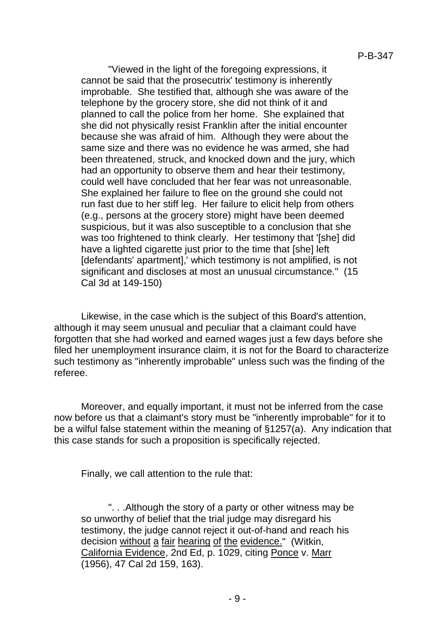"Viewed in the light of the foregoing expressions, it cannot be said that the prosecutrix' testimony is inherently improbable. She testified that, although she was aware of the telephone by the grocery store, she did not think of it and planned to call the police from her home. She explained that she did not physically resist Franklin after the initial encounter because she was afraid of him. Although they were about the same size and there was no evidence he was armed, she had been threatened, struck, and knocked down and the jury, which had an opportunity to observe them and hear their testimony, could well have concluded that her fear was not unreasonable. She explained her failure to flee on the ground she could not run fast due to her stiff leg. Her failure to elicit help from others (e.g., persons at the grocery store) might have been deemed suspicious, but it was also susceptible to a conclusion that she was too frightened to think clearly. Her testimony that '[she] did have a lighted cigarette just prior to the time that [she] left [defendants' apartment],' which testimony is not amplified, is not significant and discloses at most an unusual circumstance." (15 Cal 3d at 149-150)

Likewise, in the case which is the subject of this Board's attention, although it may seem unusual and peculiar that a claimant could have forgotten that she had worked and earned wages just a few days before she filed her unemployment insurance claim, it is not for the Board to characterize such testimony as "inherently improbable" unless such was the finding of the referee.

Moreover, and equally important, it must not be inferred from the case now before us that a claimant's story must be "inherently improbable" for it to be a wilful false statement within the meaning of §1257(a). Any indication that this case stands for such a proposition is specifically rejected.

Finally, we call attention to the rule that:

". . .Although the story of a party or other witness may be so unworthy of belief that the trial judge may disregard his testimony, the judge cannot reject it out-of-hand and reach his decision without a fair hearing of the evidence." (Witkin, California Evidence, 2nd Ed, p. 1029, citing Ponce v. Marr (1956), 47 Cal 2d 159, 163).